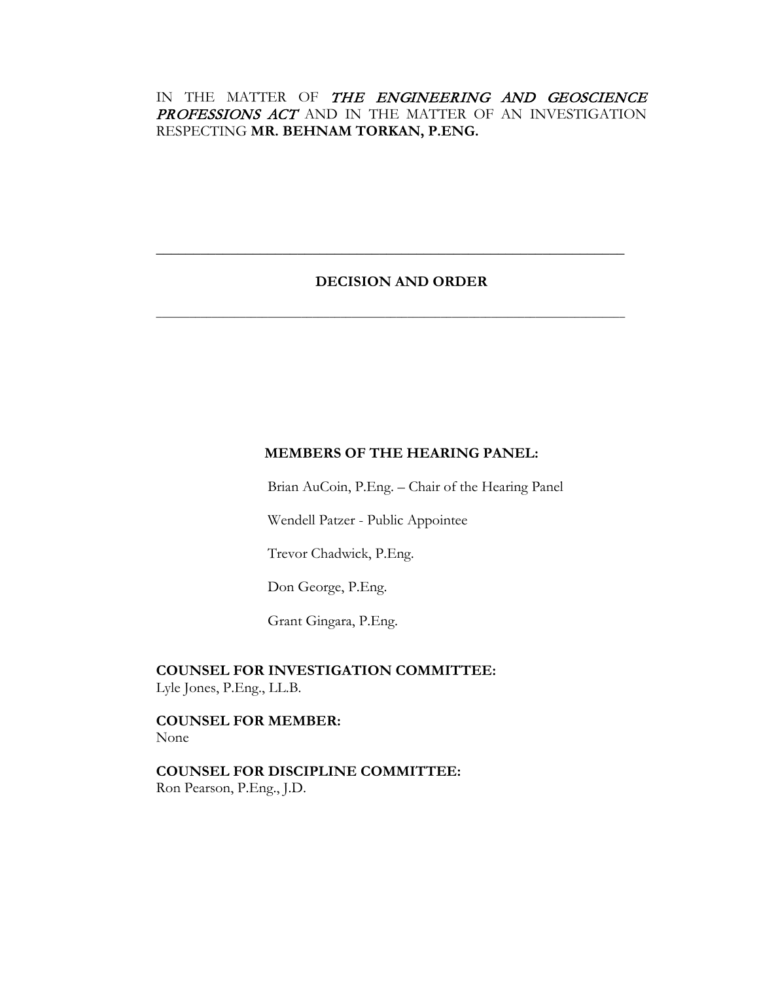# IN THE MATTER OF THE ENGINEERING AND GEOSCIENCE PROFESSIONS ACT AND IN THE MATTER OF AN INVESTIGATION RESPECTING **MR. BEHNAM TORKAN, P.ENG.**

# **DECISION AND ORDER**

**\_\_\_\_\_\_\_\_\_\_\_\_\_\_\_\_\_\_\_\_\_\_\_\_\_\_\_\_\_\_\_\_\_\_\_\_\_\_\_\_\_\_\_\_\_\_\_\_\_\_\_\_\_\_\_\_\_\_\_\_\_\_\_**

**\_\_\_\_\_\_\_\_\_\_\_\_\_\_\_\_\_\_\_\_\_\_\_\_\_\_\_\_\_\_\_\_\_\_\_\_\_\_\_\_\_\_\_\_\_\_\_\_\_\_\_\_\_\_\_\_\_\_\_\_\_\_\_\_\_\_\_\_\_\_\_\_\_\_\_\_\_\_\_\_\_\_\_\_**

# **MEMBERS OF THE HEARING PANEL:**

Brian AuCoin, P.Eng. – Chair of the Hearing Panel

Wendell Patzer - Public Appointee

Trevor Chadwick, P.Eng.

Don George, P.Eng.

Grant Gingara, P.Eng.

**COUNSEL FOR INVESTIGATION COMMITTEE:** Lyle Jones, P.Eng., LL.B.

**COUNSEL FOR MEMBER:** None

**COUNSEL FOR DISCIPLINE COMMITTEE:** Ron Pearson, P.Eng., J.D.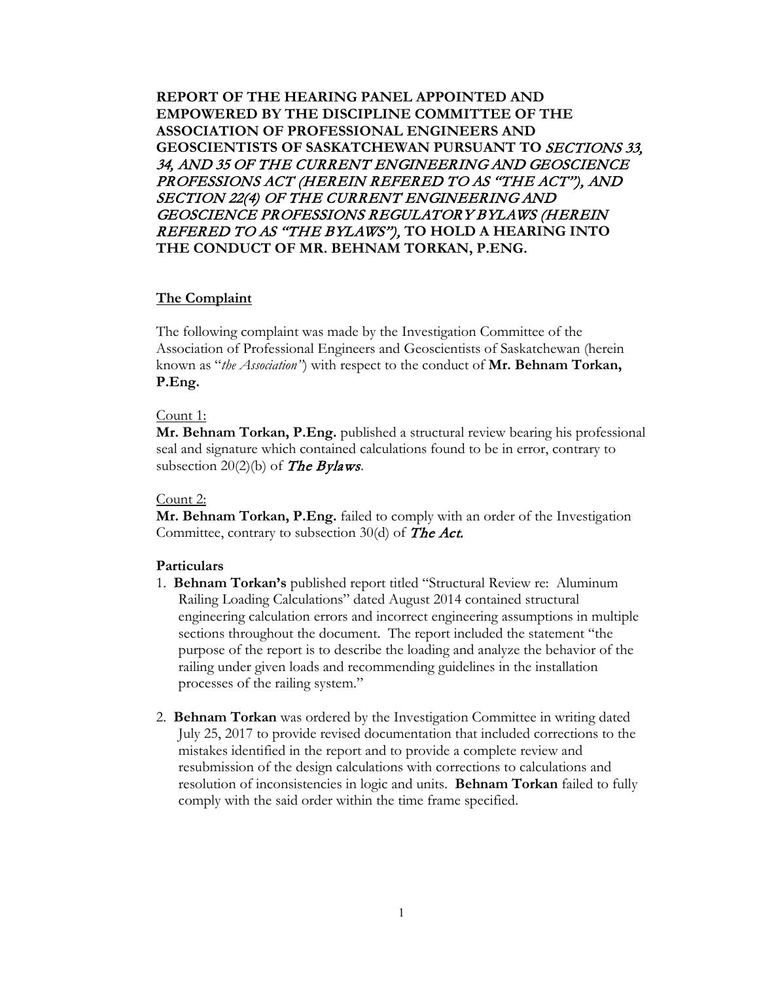**REPORT OF THE HEARING PANEL APPOINTED AND EMPOWERED BY THE DISCIPLINE COMMITTEE OF THE ASSOCIATION OF PROFESSIONAL ENGINEERS AND GEOSCIENTISTS OF SASKATCHEWAN PURSUANT TO** SECTIONS 33, 34, AND 35 OF THE CURRENT ENGINEERING AND GEOSCIENCE PROFESSIONS ACT (HEREIN REFERED TO AS "THE ACT"), AND SECTION 22(4) OF THE CURRENT ENGINEERING AND GEOSCIENCE PROFESSIONS REGULATORY BYLAWS (HEREIN REFERED TO AS "THE BYLAWS"), **TO HOLD A HEARING INTO THE CONDUCT OF MR. BEHNAM TORKAN, P.ENG.**

### **The Complaint**

The following complaint was made by the Investigation Committee of the Association of Professional Engineers and Geoscientists of Saskatchewan (herein known as "*the Association"*) with respect to the conduct of **Mr. Behnam Torkan, P.Eng.**

## Count 1:

**Mr. Behnam Torkan, P.Eng.** published a structural review bearing his professional seal and signature which contained calculations found to be in error, contrary to subsection 20(2)(b) of The Bylaws.

### Count 2:

**Mr. Behnam Torkan, P.Eng.** failed to comply with an order of the Investigation Committee, contrary to subsection 30(d) of The Act.

### **Particulars**

- 1. **Behnam Torkan's** published report titled "Structural Review re: Aluminum Railing Loading Calculations" dated August 2014 contained structural engineering calculation errors and incorrect engineering assumptions in multiple sections throughout the document. The report included the statement "the purpose of the report is to describe the loading and analyze the behavior of the railing under given loads and recommending guidelines in the installation processes of the railing system."
- 2. **Behnam Torkan** was ordered by the Investigation Committee in writing dated July 25, 2017 to provide revised documentation that included corrections to the mistakes identified in the report and to provide a complete review and resubmission of the design calculations with corrections to calculations and resolution of inconsistencies in logic and units. **Behnam Torkan** failed to fully comply with the said order within the time frame specified.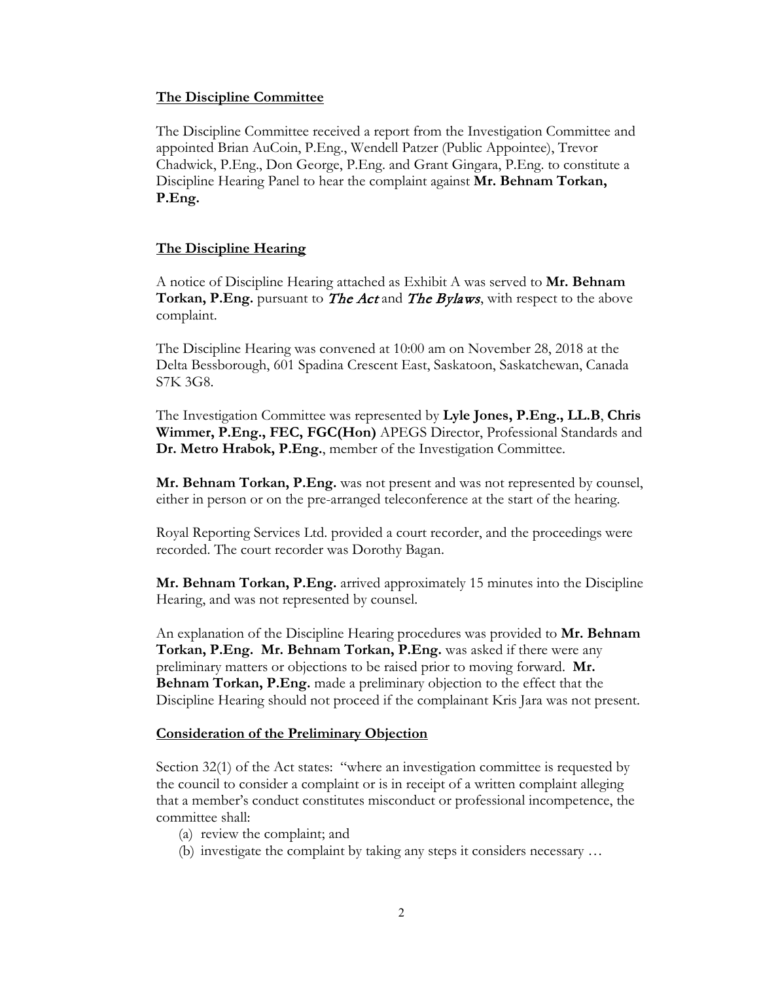### **The Discipline Committee**

The Discipline Committee received a report from the Investigation Committee and appointed Brian AuCoin, P.Eng., Wendell Patzer (Public Appointee), Trevor Chadwick, P.Eng., Don George, P.Eng. and Grant Gingara, P.Eng. to constitute a Discipline Hearing Panel to hear the complaint against **Mr. Behnam Torkan, P.Eng.**

## **The Discipline Hearing**

A notice of Discipline Hearing attached as Exhibit A was served to **Mr. Behnam Torkan, P.Eng.** pursuant to **The Act** and **The Bylaws**, with respect to the above complaint.

The Discipline Hearing was convened at 10:00 am on November 28, 2018 at the Delta Bessborough, 601 Spadina Crescent East, Saskatoon, Saskatchewan, Canada S7K 3G8.

The Investigation Committee was represented by **Lyle Jones, P.Eng., LL.B**, **Chris Wimmer, P.Eng., FEC, FGC(Hon)** APEGS Director, Professional Standards and **Dr. Metro Hrabok, P.Eng.**, member of the Investigation Committee.

**Mr. Behnam Torkan, P.Eng.** was not present and was not represented by counsel, either in person or on the pre-arranged teleconference at the start of the hearing.

Royal Reporting Services Ltd. provided a court recorder, and the proceedings were recorded. The court recorder was Dorothy Bagan.

**Mr. Behnam Torkan, P.Eng.** arrived approximately 15 minutes into the Discipline Hearing, and was not represented by counsel.

An explanation of the Discipline Hearing procedures was provided to **Mr. Behnam Torkan, P.Eng. Mr. Behnam Torkan, P.Eng.** was asked if there were any preliminary matters or objections to be raised prior to moving forward. **Mr. Behnam Torkan, P.Eng.** made a preliminary objection to the effect that the Discipline Hearing should not proceed if the complainant Kris Jara was not present.

## **Consideration of the Preliminary Objection**

Section 32(1) of the Act states: "where an investigation committee is requested by the council to consider a complaint or is in receipt of a written complaint alleging that a member's conduct constitutes misconduct or professional incompetence, the committee shall:

- (a) review the complaint; and
- (b) investigate the complaint by taking any steps it considers necessary …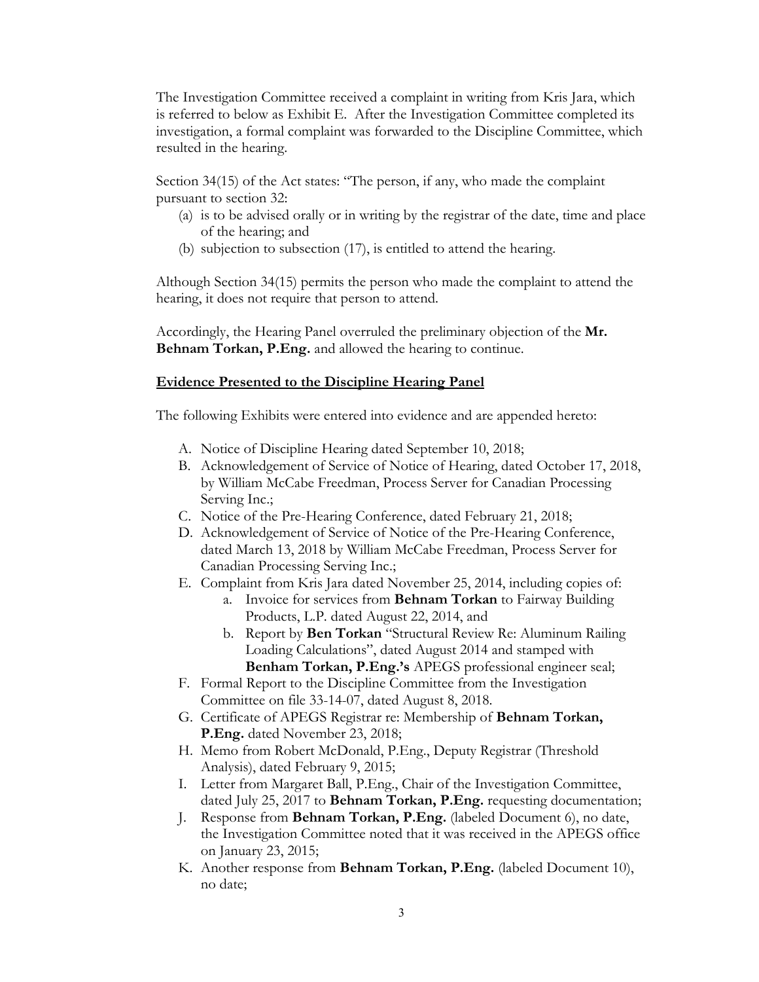The Investigation Committee received a complaint in writing from Kris Jara, which is referred to below as Exhibit E. After the Investigation Committee completed its investigation, a formal complaint was forwarded to the Discipline Committee, which resulted in the hearing.

Section 34(15) of the Act states: "The person, if any, who made the complaint pursuant to section 32:

- (a) is to be advised orally or in writing by the registrar of the date, time and place of the hearing; and
- (b) subjection to subsection (17), is entitled to attend the hearing.

Although Section 34(15) permits the person who made the complaint to attend the hearing, it does not require that person to attend.

Accordingly, the Hearing Panel overruled the preliminary objection of the **Mr. Behnam Torkan, P.Eng.** and allowed the hearing to continue.

### **Evidence Presented to the Discipline Hearing Panel**

The following Exhibits were entered into evidence and are appended hereto:

- A. Notice of Discipline Hearing dated September 10, 2018;
- B. Acknowledgement of Service of Notice of Hearing, dated October 17, 2018, by William McCabe Freedman, Process Server for Canadian Processing Serving Inc.;
- C. Notice of the Pre-Hearing Conference, dated February 21, 2018;
- D. Acknowledgement of Service of Notice of the Pre-Hearing Conference, dated March 13, 2018 by William McCabe Freedman, Process Server for Canadian Processing Serving Inc.;
- E. Complaint from Kris Jara dated November 25, 2014, including copies of:
	- a. Invoice for services from **Behnam Torkan** to Fairway Building Products, L.P. dated August 22, 2014, and
	- b. Report by **Ben Torkan** "Structural Review Re: Aluminum Railing Loading Calculations", dated August 2014 and stamped with **Benham Torkan, P.Eng.'s** APEGS professional engineer seal;
- F. Formal Report to the Discipline Committee from the Investigation Committee on file 33-14-07, dated August 8, 2018.
- G. Certificate of APEGS Registrar re: Membership of **Behnam Torkan, P.Eng.** dated November 23, 2018;
- H. Memo from Robert McDonald, P.Eng., Deputy Registrar (Threshold Analysis), dated February 9, 2015;
- I. Letter from Margaret Ball, P.Eng., Chair of the Investigation Committee, dated July 25, 2017 to **Behnam Torkan, P.Eng.** requesting documentation;
- J. Response from **Behnam Torkan, P.Eng.** (labeled Document 6), no date, the Investigation Committee noted that it was received in the APEGS office on January 23, 2015;
- K. Another response from **Behnam Torkan, P.Eng.** (labeled Document 10), no date;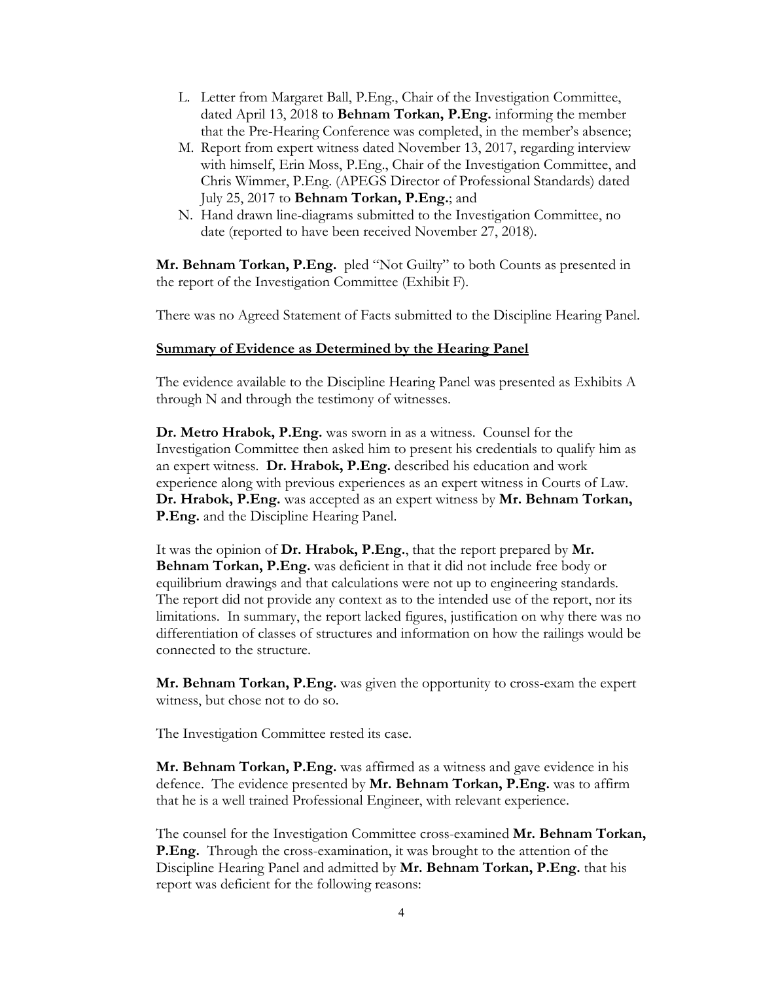- L. Letter from Margaret Ball, P.Eng., Chair of the Investigation Committee, dated April 13, 2018 to **Behnam Torkan, P.Eng.** informing the member that the Pre-Hearing Conference was completed, in the member's absence;
- M. Report from expert witness dated November 13, 2017, regarding interview with himself, Erin Moss, P.Eng., Chair of the Investigation Committee, and Chris Wimmer, P.Eng. (APEGS Director of Professional Standards) dated July 25, 2017 to **Behnam Torkan, P.Eng.**; and
- N. Hand drawn line-diagrams submitted to the Investigation Committee, no date (reported to have been received November 27, 2018).

**Mr. Behnam Torkan, P.Eng.** pled "Not Guilty" to both Counts as presented in the report of the Investigation Committee (Exhibit F).

There was no Agreed Statement of Facts submitted to the Discipline Hearing Panel.

#### **Summary of Evidence as Determined by the Hearing Panel**

The evidence available to the Discipline Hearing Panel was presented as Exhibits A through N and through the testimony of witnesses.

**Dr. Metro Hrabok, P.Eng.** was sworn in as a witness. Counsel for the Investigation Committee then asked him to present his credentials to qualify him as an expert witness. **Dr. Hrabok, P.Eng.** described his education and work experience along with previous experiences as an expert witness in Courts of Law. **Dr. Hrabok, P.Eng.** was accepted as an expert witness by **Mr. Behnam Torkan, P.Eng.** and the Discipline Hearing Panel.

It was the opinion of **Dr. Hrabok, P.Eng.**, that the report prepared by **Mr. Behnam Torkan, P.Eng.** was deficient in that it did not include free body or equilibrium drawings and that calculations were not up to engineering standards. The report did not provide any context as to the intended use of the report, nor its limitations. In summary, the report lacked figures, justification on why there was no differentiation of classes of structures and information on how the railings would be connected to the structure.

**Mr. Behnam Torkan, P.Eng.** was given the opportunity to cross-exam the expert witness, but chose not to do so.

The Investigation Committee rested its case.

**Mr. Behnam Torkan, P.Eng.** was affirmed as a witness and gave evidence in his defence. The evidence presented by **Mr. Behnam Torkan, P.Eng.** was to affirm that he is a well trained Professional Engineer, with relevant experience.

The counsel for the Investigation Committee cross-examined **Mr. Behnam Torkan, P.Eng.** Through the cross-examination, it was brought to the attention of the Discipline Hearing Panel and admitted by **Mr. Behnam Torkan, P.Eng.** that his report was deficient for the following reasons: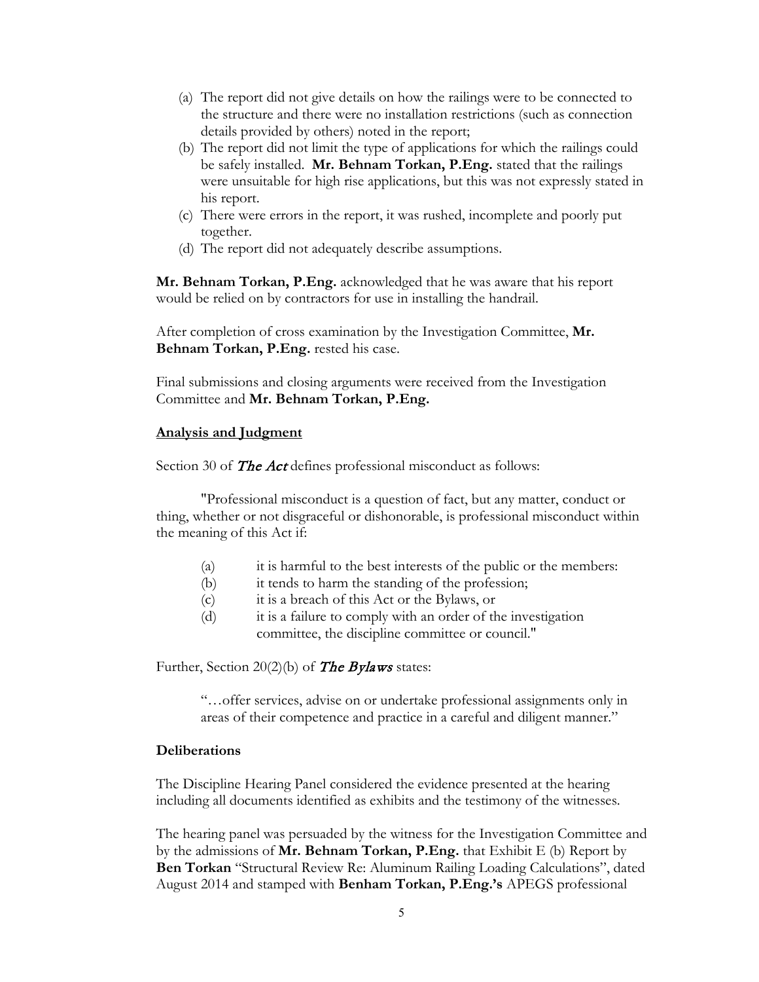- (a) The report did not give details on how the railings were to be connected to the structure and there were no installation restrictions (such as connection details provided by others) noted in the report;
- (b) The report did not limit the type of applications for which the railings could be safely installed. **Mr. Behnam Torkan, P.Eng.** stated that the railings were unsuitable for high rise applications, but this was not expressly stated in his report.
- (c) There were errors in the report, it was rushed, incomplete and poorly put together.
- (d) The report did not adequately describe assumptions.

**Mr. Behnam Torkan, P.Eng.** acknowledged that he was aware that his report would be relied on by contractors for use in installing the handrail.

After completion of cross examination by the Investigation Committee, **Mr. Behnam Torkan, P.Eng.** rested his case.

Final submissions and closing arguments were received from the Investigation Committee and **Mr. Behnam Torkan, P.Eng.**

## **Analysis and Judgment**

Section 30 of The Act defines professional misconduct as follows:

"Professional misconduct is a question of fact, but any matter, conduct or thing, whether or not disgraceful or dishonorable, is professional misconduct within the meaning of this Act if:

- (a) it is harmful to the best interests of the public or the members:
- (b) it tends to harm the standing of the profession;
- (c) it is a breach of this Act or the Bylaws, or
- (d) it is a failure to comply with an order of the investigation committee, the discipline committee or council."

Further, Section 20(2)(b) of **The Bylaws** states:

"…offer services, advise on or undertake professional assignments only in areas of their competence and practice in a careful and diligent manner."

### **Deliberations**

The Discipline Hearing Panel considered the evidence presented at the hearing including all documents identified as exhibits and the testimony of the witnesses.

The hearing panel was persuaded by the witness for the Investigation Committee and by the admissions of **Mr. Behnam Torkan, P.Eng.** that Exhibit E (b) Report by **Ben Torkan** "Structural Review Re: Aluminum Railing Loading Calculations", dated August 2014 and stamped with **Benham Torkan, P.Eng.'s** APEGS professional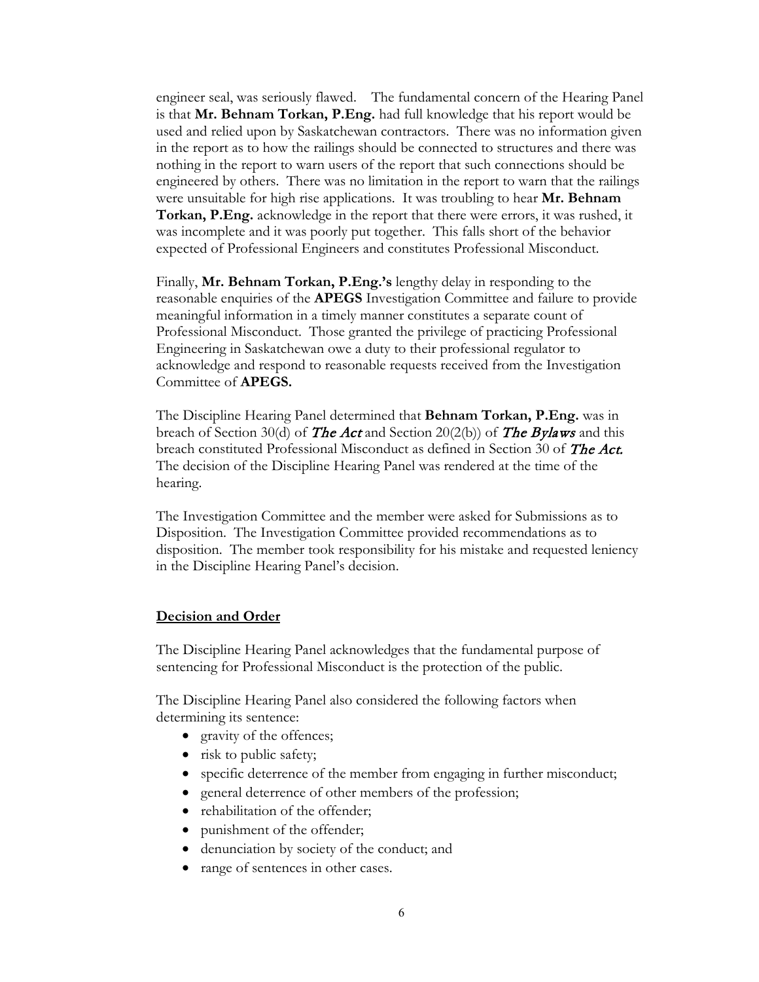engineer seal, was seriously flawed. The fundamental concern of the Hearing Panel is that **Mr. Behnam Torkan, P.Eng.** had full knowledge that his report would be used and relied upon by Saskatchewan contractors. There was no information given in the report as to how the railings should be connected to structures and there was nothing in the report to warn users of the report that such connections should be engineered by others. There was no limitation in the report to warn that the railings were unsuitable for high rise applications. It was troubling to hear **Mr. Behnam Torkan, P.Eng.** acknowledge in the report that there were errors, it was rushed, it was incomplete and it was poorly put together. This falls short of the behavior expected of Professional Engineers and constitutes Professional Misconduct.

Finally, **Mr. Behnam Torkan, P.Eng.'s** lengthy delay in responding to the reasonable enquiries of the **APEGS** Investigation Committee and failure to provide meaningful information in a timely manner constitutes a separate count of Professional Misconduct. Those granted the privilege of practicing Professional Engineering in Saskatchewan owe a duty to their professional regulator to acknowledge and respond to reasonable requests received from the Investigation Committee of **APEGS.**

The Discipline Hearing Panel determined that **Behnam Torkan, P.Eng.** was in breach of Section 30(d) of **The Act** and Section 20(2(b)) of **The Bylaws** and this breach constituted Professional Misconduct as defined in Section 30 of *The Act.* The decision of the Discipline Hearing Panel was rendered at the time of the hearing.

The Investigation Committee and the member were asked for Submissions as to Disposition. The Investigation Committee provided recommendations as to disposition. The member took responsibility for his mistake and requested leniency in the Discipline Hearing Panel's decision.

### **Decision and Order**

The Discipline Hearing Panel acknowledges that the fundamental purpose of sentencing for Professional Misconduct is the protection of the public.

The Discipline Hearing Panel also considered the following factors when determining its sentence:

- gravity of the offences;
- risk to public safety;
- specific deterrence of the member from engaging in further misconduct;
- general deterrence of other members of the profession;
- rehabilitation of the offender;
- punishment of the offender;
- denunciation by society of the conduct; and
- range of sentences in other cases.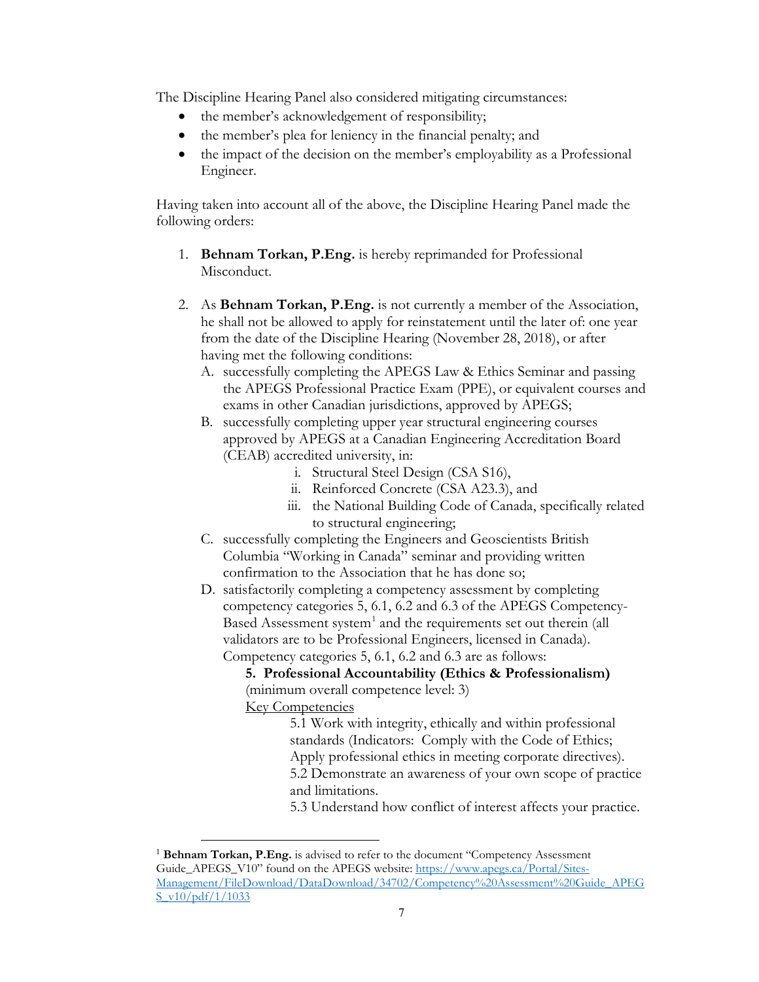The Discipline Hearing Panel also considered mitigating circumstances:

- the member's acknowledgement of responsibility;
- the member's plea for leniency in the financial penalty; and
- the impact of the decision on the member's employability as a Professional Engineer.

Having taken into account all of the above, the Discipline Hearing Panel made the following orders:

- 1. **Behnam Torkan, P.Eng.** is hereby reprimanded for Professional Misconduct.
- 2. As **Behnam Torkan, P.Eng.** is not currently a member of the Association, he shall not be allowed to apply for reinstatement until the later of: one year from the date of the Discipline Hearing (November 28, 2018), or after having met the following conditions:
	- A. successfully completing the APEGS Law & Ethics Seminar and passing the APEGS Professional Practice Exam (PPE), or equivalent courses and exams in other Canadian jurisdictions, approved by APEGS;
	- B. successfully completing upper year structural engineering courses approved by APEGS at a Canadian Engineering Accreditation Board (CEAB) accredited university, in:
		- i. Structural Steel Design (CSA S16),
		- ii. Reinforced Concrete (CSA A23.3), and
		- iii. the National Building Code of Canada, specifically related to structural engineering;
	- C. successfully completing the Engineers and Geoscientists British Columbia "Working in Canada" seminar and providing written confirmation to the Association that he has done so;
	- D. satisfactorily completing a competency assessment by completing competency categories 5, 6.1, 6.2 and 6.3 of the APEGS Competency-Based Assessment system<sup>[1](#page-7-0)</sup> and the requirements set out therein (all validators are to be Professional Engineers, licensed in Canada). Competency categories 5, 6.1, 6.2 and 6.3 are as follows:

**5. Professional Accountability (Ethics & Professionalism)** (minimum overall competence level: 3) **Key Competencies** 

5.1 Work with integrity, ethically and within professional standards (Indicators: Comply with the Code of Ethics; Apply professional ethics in meeting corporate directives). 5.2 Demonstrate an awareness of your own scope of practice and limitations.

5.3 Understand how conflict of interest affects your practice.

<span id="page-7-0"></span> <sup>1</sup> **Behnam Torkan, P.Eng.** is advised to refer to the document "Competency Assessment Guide\_APEGS\_V10" found on the APEGS website: [https://www.apegs.ca/Portal/Sites-](https://www.apegs.ca/Portal/Sites-Management/FileDownload/DataDownload/34702/Competency%20Assessment%20Guide_APEGS_v10/pdf/1/1033)[Management/FileDownload/DataDownload/34702/Competency%20Assessment%20Guide\\_APEG](https://www.apegs.ca/Portal/Sites-Management/FileDownload/DataDownload/34702/Competency%20Assessment%20Guide_APEGS_v10/pdf/1/1033)  $S \text{v}10/pdf/1/1033$